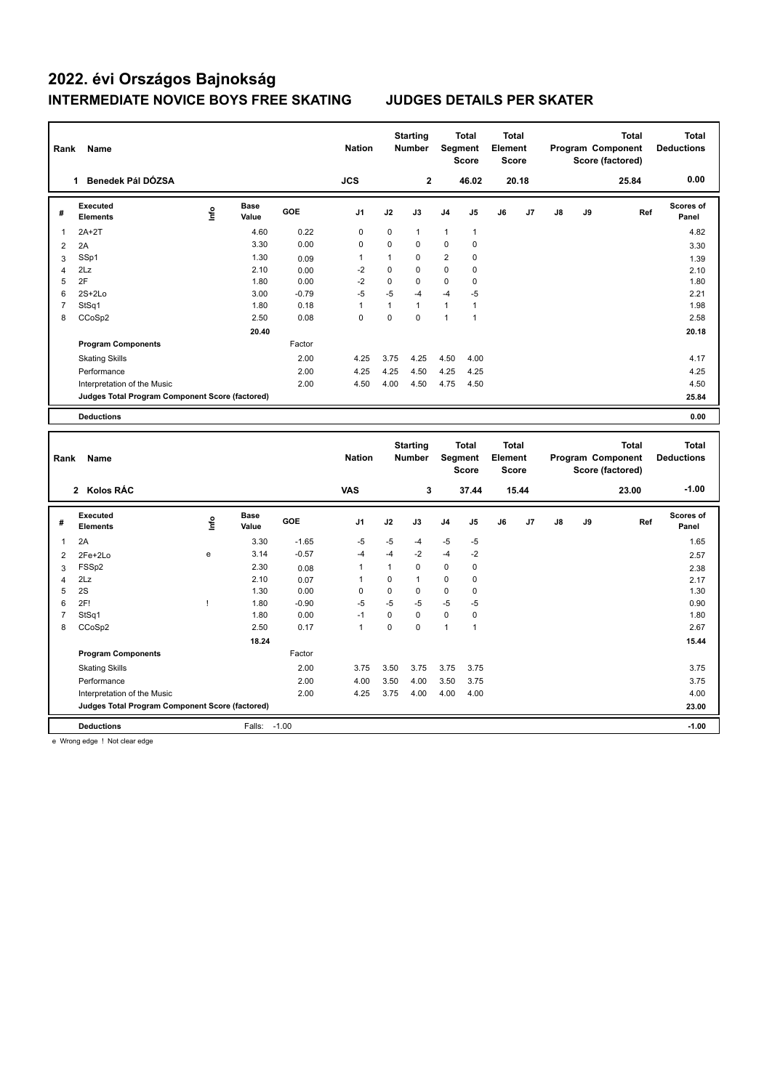## **2022. évi Országos Bajnokság INTERMEDIATE NOVICE BOYS FREE SKATING JUDGES DETAILS PER SKATER**

| Rank           | Name                                                                           |      |               |            | <b>Nation</b>  |              | <b>Starting</b><br><b>Number</b> | Segment        | <b>Total</b><br><b>Score</b> | <b>Total</b><br>Element<br><b>Score</b> |       |    |    | <b>Total</b><br>Program Component<br>Score (factored) |     | <b>Total</b><br><b>Deductions</b> |
|----------------|--------------------------------------------------------------------------------|------|---------------|------------|----------------|--------------|----------------------------------|----------------|------------------------------|-----------------------------------------|-------|----|----|-------------------------------------------------------|-----|-----------------------------------|
|                | 1 Benedek Pál DÓZSA                                                            |      |               |            | <b>JCS</b>     |              | $\mathbf 2$                      |                | 46.02                        |                                         | 20.18 |    |    | 25.84                                                 |     | 0.00                              |
| #              | <b>Executed</b><br><b>Elements</b>                                             | Info | Base<br>Value | GOE        | J <sub>1</sub> | J2           | J3                               | J <sub>4</sub> | J5                           | J6                                      | J7    | J8 | J9 |                                                       | Ref | <b>Scores of</b><br>Panel         |
| 1              | $2A+2T$                                                                        |      | 4.60          | 0.22       | $\pmb{0}$      | $\mathbf 0$  | $\mathbf{1}$                     | $\mathbf{1}$   | $\mathbf{1}$                 |                                         |       |    |    |                                                       |     | 4.82                              |
| 2              | 2A                                                                             |      | 3.30          | 0.00       | $\mathbf 0$    | 0            | $\mathbf 0$                      | $\mathbf 0$    | $\pmb{0}$                    |                                         |       |    |    |                                                       |     | 3.30                              |
| 3              | SSp1                                                                           |      | 1.30          | 0.09       | $\overline{1}$ | 1            | $\Omega$                         | $\overline{2}$ | $\Omega$                     |                                         |       |    |    |                                                       |     | 1.39                              |
| 4              | 2Lz                                                                            |      | 2.10          | 0.00       | $-2$           | $\mathbf 0$  | $\mathbf 0$                      | $\mathbf 0$    | $\mathbf 0$                  |                                         |       |    |    |                                                       |     | 2.10                              |
| 5              | 2F                                                                             |      | 1.80          | 0.00       | $-2$           | $\mathbf 0$  | $\mathbf 0$                      | $\mathbf 0$    | $\mathbf 0$                  |                                         |       |    |    |                                                       |     | 1.80                              |
| 6              | $2S+2Lo$                                                                       |      | 3.00          | $-0.79$    | $-5$           | $-5$         | $-4$                             | $-4$           | $-5$                         |                                         |       |    |    |                                                       |     | 2.21                              |
| $\overline{7}$ | StSq1                                                                          |      | 1.80          | 0.18       | $\mathbf{1}$   | $\mathbf{1}$ | $\mathbf{1}$                     | $\mathbf{1}$   | $\mathbf{1}$                 |                                         |       |    |    |                                                       |     | 1.98                              |
| 8              | CCoSp2                                                                         |      | 2.50          | 0.08       | $\mathbf 0$    | $\mathbf 0$  | $\mathbf 0$                      | $\mathbf{1}$   | $\mathbf{1}$                 |                                         |       |    |    |                                                       |     | 2.58                              |
|                |                                                                                |      | 20.40         |            |                |              |                                  |                |                              |                                         |       |    |    |                                                       |     | 20.18                             |
|                | <b>Program Components</b>                                                      |      |               | Factor     |                |              |                                  |                |                              |                                         |       |    |    |                                                       |     |                                   |
|                | <b>Skating Skills</b>                                                          |      |               | 2.00       | 4.25           | 3.75         | 4.25                             | 4.50           | 4.00                         |                                         |       |    |    |                                                       |     | 4.17                              |
|                | Performance                                                                    |      |               | 2.00       | 4.25           | 4.25         | 4.50                             | 4.25           | 4.25                         |                                         |       |    |    |                                                       |     | 4.25                              |
|                | Interpretation of the Music                                                    |      |               | 2.00       | 4.50           | 4.00         | 4.50                             | 4.75           | 4.50                         |                                         |       |    |    |                                                       |     | 4.50                              |
|                | Judges Total Program Component Score (factored)                                |      |               |            |                |              |                                  |                |                              |                                         |       |    |    |                                                       |     | 25.84                             |
|                | <b>Deductions</b>                                                              |      |               |            |                |              |                                  |                |                              |                                         |       |    |    |                                                       |     | 0.00                              |
|                |                                                                                |      |               |            |                |              |                                  |                |                              |                                         |       |    |    |                                                       |     |                                   |
|                |                                                                                |      |               |            |                |              |                                  |                |                              |                                         |       |    |    |                                                       |     |                                   |
|                |                                                                                |      |               |            |                |              |                                  |                |                              |                                         |       |    |    |                                                       |     |                                   |
|                |                                                                                |      |               |            |                |              | <b>Starting</b>                  |                | <b>Total</b>                 | <b>Total</b>                            |       |    |    | <b>Total</b>                                          |     | <b>Total</b>                      |
| Rank           | Name                                                                           |      |               |            | <b>Nation</b>  |              | <b>Number</b>                    | Segment        | <b>Score</b>                 | Element<br><b>Score</b>                 |       |    |    | Program Component                                     |     | <b>Deductions</b>                 |
|                |                                                                                |      |               |            |                |              |                                  |                |                              |                                         |       |    |    | Score (factored)                                      |     |                                   |
|                | 2 Kolos RÁC                                                                    |      |               |            | <b>VAS</b>     |              | 3                                |                | 37.44                        |                                         | 15.44 |    |    | 23.00                                                 |     | $-1.00$                           |
|                | Executed                                                                       |      | <b>Base</b>   |            |                |              |                                  |                |                              |                                         |       |    |    |                                                       |     | Scores of                         |
| #              | <b>Elements</b>                                                                | lnfo | Value         | <b>GOE</b> | J1             | J2           | J3                               | J4             | J5                           | J6                                      | J7    | J8 | J9 |                                                       | Ref | Panel                             |
| $\mathbf{1}$   | 2A                                                                             |      | 3.30          | $-1.65$    | $-5$           | -5           | -4                               | $-5$           | -5                           |                                         |       |    |    |                                                       |     | 1.65                              |
| $\overline{2}$ | 2Fe+2Lo                                                                        | e    | 3.14          | $-0.57$    | $-4$           | $-4$         | -2                               | $-4$           | $-2$                         |                                         |       |    |    |                                                       |     | 2.57                              |
| 3              | FSSp2                                                                          |      | 2.30          | 0.08       | $\mathbf{1}$   | $\mathbf{1}$ | $\mathbf 0$                      | $\mathbf 0$    | 0                            |                                         |       |    |    |                                                       |     | 2.38                              |
| $\overline{4}$ | 2Lz                                                                            |      | 2.10          | 0.07       | $\mathbf{1}$   | 0            | $\mathbf{1}$                     | $\pmb{0}$      | $\pmb{0}$                    |                                         |       |    |    |                                                       |     | 2.17                              |
| 5              | 2S                                                                             |      | 1.30          | 0.00       | $\mathbf 0$    | $\mathbf 0$  | $\mathbf 0$                      | $\mathbf 0$    | $\pmb{0}$                    |                                         |       |    |    |                                                       |     | 1.30                              |
| 6              | 2F!                                                                            | Ţ    | 1.80          | $-0.90$    | $-5$           | -5           | -5                               | $-5$           | -5                           |                                         |       |    |    |                                                       |     | 0.90                              |
| $\overline{7}$ | StSq1                                                                          |      | 1.80          | 0.00       | $-1$           | 0            | 0                                | 0              | 0                            |                                         |       |    |    |                                                       |     | 1.80                              |
| 8              | CCoSp2                                                                         |      | 2.50          | 0.17       | $\mathbf{1}$   | $\mathsf 0$  | $\mathbf 0$                      | $\mathbf{1}$   | $\mathbf{1}$                 |                                         |       |    |    |                                                       |     | 2.67                              |
|                |                                                                                |      | 18.24         |            |                |              |                                  |                |                              |                                         |       |    |    |                                                       |     | 15.44                             |
|                | <b>Program Components</b>                                                      |      |               | Factor     |                |              |                                  |                |                              |                                         |       |    |    |                                                       |     |                                   |
|                |                                                                                |      |               | 2.00       | 3.75           |              |                                  |                |                              |                                         |       |    |    |                                                       |     |                                   |
|                | <b>Skating Skills</b><br>Performance                                           |      |               | 2.00       | 4.00           | 3.50<br>3.50 | 3.75<br>4.00                     | 3.75<br>3.50   | 3.75<br>3.75                 |                                         |       |    |    |                                                       |     | 3.75<br>3.75                      |
|                |                                                                                |      |               | 2.00       | 4.25           | 3.75         | 4.00                             | 4.00           | 4.00                         |                                         |       |    |    |                                                       |     | 4.00                              |
|                | Interpretation of the Music<br>Judges Total Program Component Score (factored) |      |               |            |                |              |                                  |                |                              |                                         |       |    |    |                                                       |     | 23.00                             |

e Wrong edge ! Not clear edge